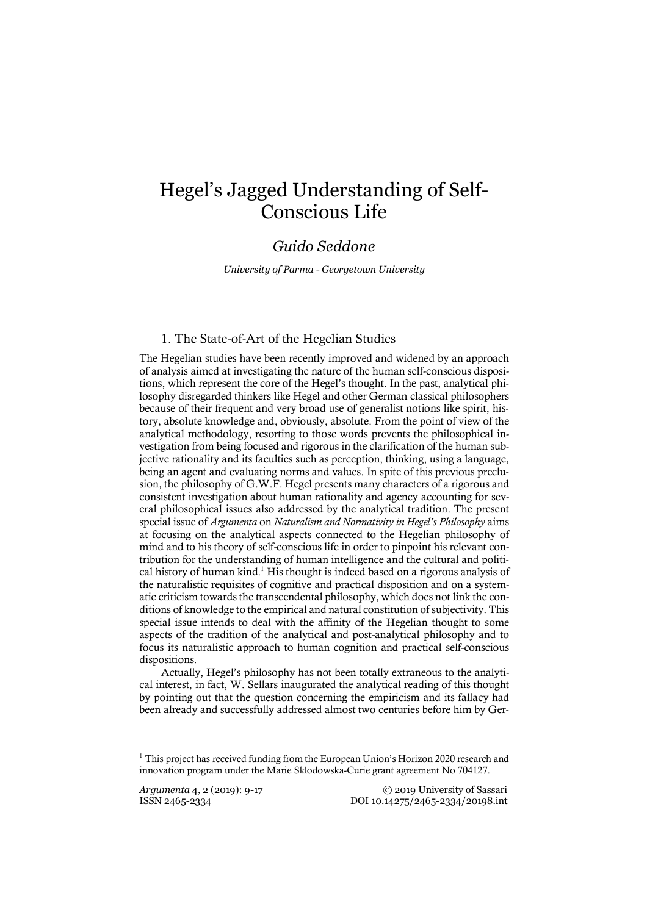# Hegel's Jagged Understanding of Self-Conscious Life

## *Guido Seddone*

*University of Parma - Georgetown University*

#### 1. The State-of-Art of the Hegelian Studies

The Hegelian studies have been recently improved and widened by an approach of analysis aimed at investigating the nature of the human self-conscious dispositions, which represent the core of the Hegel's thought. In the past, analytical philosophy disregarded thinkers like Hegel and other German classical philosophers because of their frequent and very broad use of generalist notions like spirit, history, absolute knowledge and, obviously, absolute. From the point of view of the analytical methodology, resorting to those words prevents the philosophical investigation from being focused and rigorous in the clarification of the human subjective rationality and its faculties such as perception, thinking, using a language, being an agent and evaluating norms and values. In spite of this previous preclusion, the philosophy of G.W.F. Hegel presents many characters of a rigorous and consistent investigation about human rationality and agency accounting for several philosophical issues also addressed by the analytical tradition. The present special issue of *Argumenta* on *Naturalism and Normativity in Hegel's Philosophy* aims at focusing on the analytical aspects connected to the Hegelian philosophy of mind and to his theory of self-conscious life in order to pinpoint his relevant contribution for the understanding of human intelligence and the cultural and political history of human kind.1 His thought is indeed based on a rigorous analysis of the naturalistic requisites of cognitive and practical disposition and on a systematic criticism towardsthe transcendental philosophy, which does not link the conditions of knowledge to the empirical and natural constitution of subjectivity. This special issue intends to deal with the affinity of the Hegelian thought to some aspects of the tradition of the analytical and post-analytical philosophy and to focus its naturalistic approach to human cognition and practical self-conscious dispositions.

Actually, Hegel's philosophy has not been totally extraneous to the analytical interest, in fact, W. Sellars inaugurated the analytical reading of this thought by pointing out that the question concerning the empiricism and its fallacy had been already and successfully addressed almost two centuries before him by Ger-

*Argumenta* 4, 2 (2019): 9-17 © 2019 University of Sassari ISSN 2465-2334 DOI 10.14275/2465-2334/20198.int

 $1$  This project has received funding from the European Union's Horizon 2020 research and innovation program under the Marie Sklodowska-Curie grant agreement No 704127.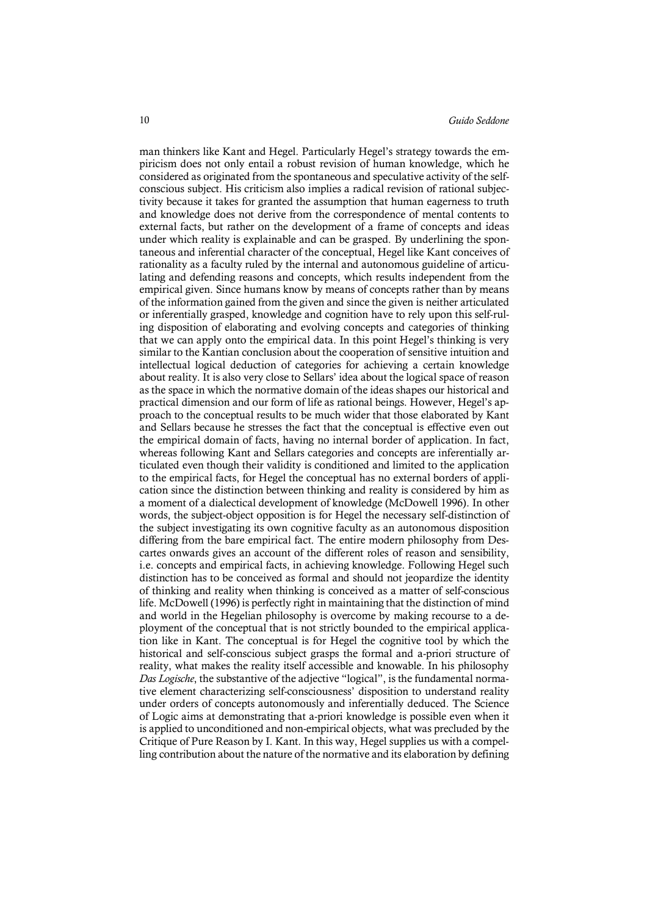man thinkers like Kant and Hegel. Particularly Hegel's strategy towards the empiricism does not only entail a robust revision of human knowledge, which he considered as originated from the spontaneous and speculative activity of the selfconscious subject. His criticism also implies a radical revision of rational subjectivity because it takes for granted the assumption that human eagerness to truth and knowledge does not derive from the correspondence of mental contents to external facts, but rather on the development of a frame of concepts and ideas under which reality is explainable and can be grasped. By underlining the spontaneous and inferential character of the conceptual, Hegel like Kant conceives of rationality as a faculty ruled by the internal and autonomous guideline of articulating and defending reasons and concepts, which results independent from the empirical given. Since humans know by means of concepts rather than by means of the information gained from the given and since the given is neither articulated or inferentially grasped, knowledge and cognition have to rely upon this self-ruling disposition of elaborating and evolving concepts and categories of thinking that we can apply onto the empirical data. In this point Hegel's thinking is very similar to the Kantian conclusion about the cooperation of sensitive intuition and intellectual logical deduction of categories for achieving a certain knowledge about reality. It is also very close to Sellars' idea about the logical space of reason as the space in which the normative domain of the ideas shapes our historical and practical dimension and our form of life as rational beings. However, Hegel's approach to the conceptual results to be much wider that those elaborated by Kant and Sellars because he stresses the fact that the conceptual is effective even out the empirical domain of facts, having no internal border of application. In fact, whereas following Kant and Sellars categories and concepts are inferentially articulated even though their validity is conditioned and limited to the application to the empirical facts, for Hegel the conceptual has no external borders of application since the distinction between thinking and reality is considered by him as a moment of a dialectical development of knowledge (McDowell 1996). In other words, the subject-object opposition is for Hegel the necessary self-distinction of the subject investigating its own cognitive faculty as an autonomous disposition differing from the bare empirical fact. The entire modern philosophy from Descartes onwards gives an account of the different roles of reason and sensibility, i.e. concepts and empirical facts, in achieving knowledge. Following Hegel such distinction has to be conceived as formal and should not jeopardize the identity of thinking and reality when thinking is conceived as a matter of self-conscious life. McDowell (1996) is perfectly right in maintaining that the distinction of mind and world in the Hegelian philosophy is overcome by making recourse to a deployment of the conceptual that is not strictly bounded to the empirical application like in Kant. The conceptual is for Hegel the cognitive tool by which the historical and self-conscious subject grasps the formal and a-priori structure of reality, what makes the reality itself accessible and knowable. In his philosophy *Das Logische*, the substantive of the adjective "logical", is the fundamental normative element characterizing self-consciousness' disposition to understand reality under orders of concepts autonomously and inferentially deduced. The Science of Logic aims at demonstrating that a-priori knowledge is possible even when it is applied to unconditioned and non-empirical objects, what was precluded by the Critique of Pure Reason by I. Kant. In this way, Hegel supplies us with a compelling contribution about the nature of the normative and its elaboration by defining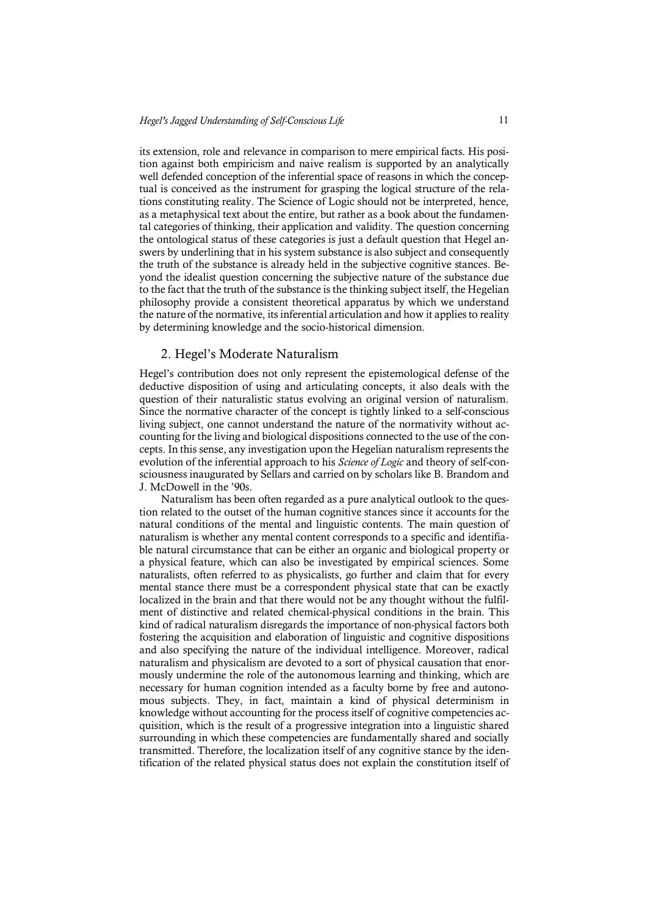its extension, role and relevance in comparison to mere empirical facts. His position against both empiricism and naive realism is supported by an analytically well defended conception of the inferential space of reasons in which the conceptual is conceived as the instrument for grasping the logical structure of the relations constituting reality. The Science of Logic should not be interpreted, hence, as a metaphysical text about the entire, but rather as a book about the fundamental categories of thinking, their application and validity. The question concerning the ontological status of these categories is just a default question that Hegel answers by underlining that in his system substance is also subject and consequently the truth of the substance is already held in the subjective cognitive stances. Beyond the idealist question concerning the subjective nature of the substance due to the fact that the truth of the substance is the thinking subject itself, the Hegelian philosophy provide a consistent theoretical apparatus by which we understand the nature of the normative, its inferential articulation and how it applies to reality by determining knowledge and the socio-historical dimension.

#### 2. Hegel's Moderate Naturalism

Hegel's contribution does not only represent the epistemological defense of the deductive disposition of using and articulating concepts, it also deals with the question of their naturalistic status evolving an original version of naturalism. Since the normative character of the concept is tightly linked to a self-conscious living subject, one cannot understand the nature of the normativity without accounting for the living and biological dispositions connected to the use of the concepts. In this sense, any investigation upon the Hegelian naturalism represents the evolution of the inferential approach to his *Science of Logic* and theory of self-consciousness inaugurated by Sellars and carried on by scholars like B. Brandom and J. McDowell in the '90s.

Naturalism has been often regarded as a pure analytical outlook to the question related to the outset of the human cognitive stances since it accounts for the natural conditions of the mental and linguistic contents. The main question of naturalism is whether any mental content corresponds to a specific and identifiable natural circumstance that can be either an organic and biological property or a physical feature, which can also be investigated by empirical sciences. Some naturalists, often referred to as physicalists, go further and claim that for every mental stance there must be a correspondent physical state that can be exactly localized in the brain and that there would not be any thought without the fulfilment of distinctive and related chemical-physical conditions in the brain. This kind of radical naturalism disregards the importance of non-physical factors both fostering the acquisition and elaboration of linguistic and cognitive dispositions and also specifying the nature of the individual intelligence. Moreover, radical naturalism and physicalism are devoted to a sort of physical causation that enormously undermine the role of the autonomous learning and thinking, which are necessary for human cognition intended as a faculty borne by free and autonomous subjects. They, in fact, maintain a kind of physical determinism in knowledge without accounting for the process itself of cognitive competencies acquisition, which is the result of a progressive integration into a linguistic shared surrounding in which these competencies are fundamentally shared and socially transmitted. Therefore, the localization itself of any cognitive stance by the identification of the related physical status does not explain the constitution itself of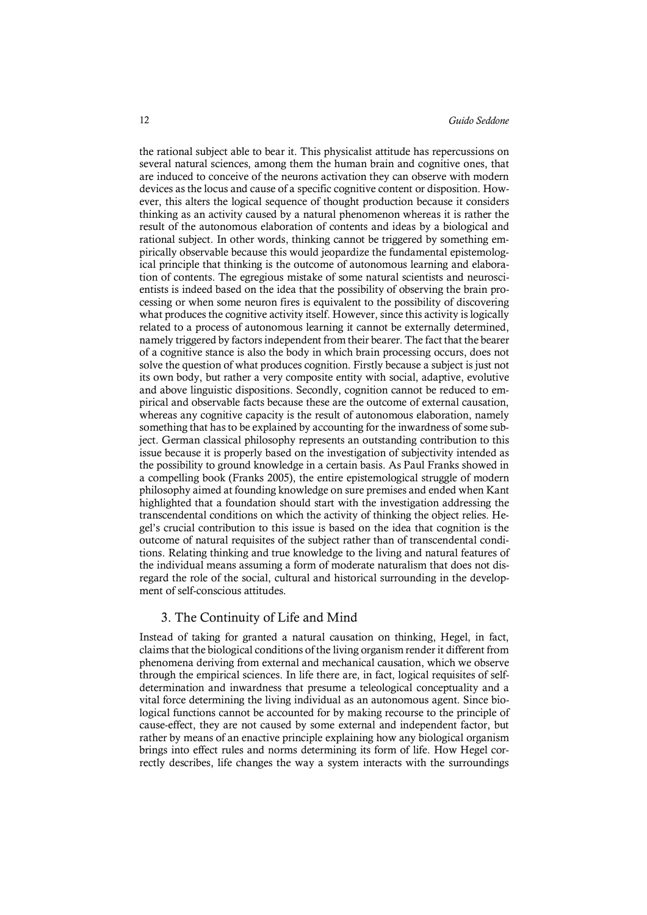the rational subject able to bear it. This physicalist attitude has repercussions on several natural sciences, among them the human brain and cognitive ones, that are induced to conceive of the neurons activation they can observe with modern devices as the locus and cause of a specific cognitive content or disposition. However, this alters the logical sequence of thought production because it considers thinking as an activity caused by a natural phenomenon whereas it is rather the result of the autonomous elaboration of contents and ideas by a biological and rational subject. In other words, thinking cannot be triggered by something empirically observable because this would jeopardize the fundamental epistemological principle that thinking is the outcome of autonomous learning and elaboration of contents. The egregious mistake of some natural scientists and neuroscientists is indeed based on the idea that the possibility of observing the brain processing or when some neuron fires is equivalent to the possibility of discovering what produces the cognitive activity itself. However, since this activity is logically related to a process of autonomous learning it cannot be externally determined, namely triggered by factorsindependent from their bearer. The fact that the bearer of a cognitive stance is also the body in which brain processing occurs, does not solve the question of what produces cognition. Firstly because a subject is just not its own body, but rather a very composite entity with social, adaptive, evolutive and above linguistic dispositions. Secondly, cognition cannot be reduced to empirical and observable facts because these are the outcome of external causation, whereas any cognitive capacity is the result of autonomous elaboration, namely something that hasto be explained by accounting for the inwardness of some subject. German classical philosophy represents an outstanding contribution to this issue because it is properly based on the investigation of subjectivity intended as the possibility to ground knowledge in a certain basis. As Paul Franks showed in a compelling book (Franks 2005), the entire epistemological struggle of modern philosophy aimed at founding knowledge on sure premises and ended when Kant highlighted that a foundation should start with the investigation addressing the transcendental conditions on which the activity of thinking the object relies. Hegel's crucial contribution to this issue is based on the idea that cognition is the outcome of natural requisites of the subject rather than of transcendental conditions. Relating thinking and true knowledge to the living and natural features of the individual means assuming a form of moderate naturalism that does not disregard the role of the social, cultural and historical surrounding in the development of self-conscious attitudes.

### 3. The Continuity of Life and Mind

Instead of taking for granted a natural causation on thinking, Hegel, in fact, claimsthat the biological conditions of the living organism render it different from phenomena deriving from external and mechanical causation, which we observe through the empirical sciences. In life there are, in fact, logical requisites of selfdetermination and inwardness that presume a teleological conceptuality and a vital force determining the living individual as an autonomous agent. Since biological functions cannot be accounted for by making recourse to the principle of cause-effect, they are not caused by some external and independent factor, but rather by means of an enactive principle explaining how any biological organism brings into effect rules and norms determining its form of life. How Hegel correctly describes, life changes the way a system interacts with the surroundings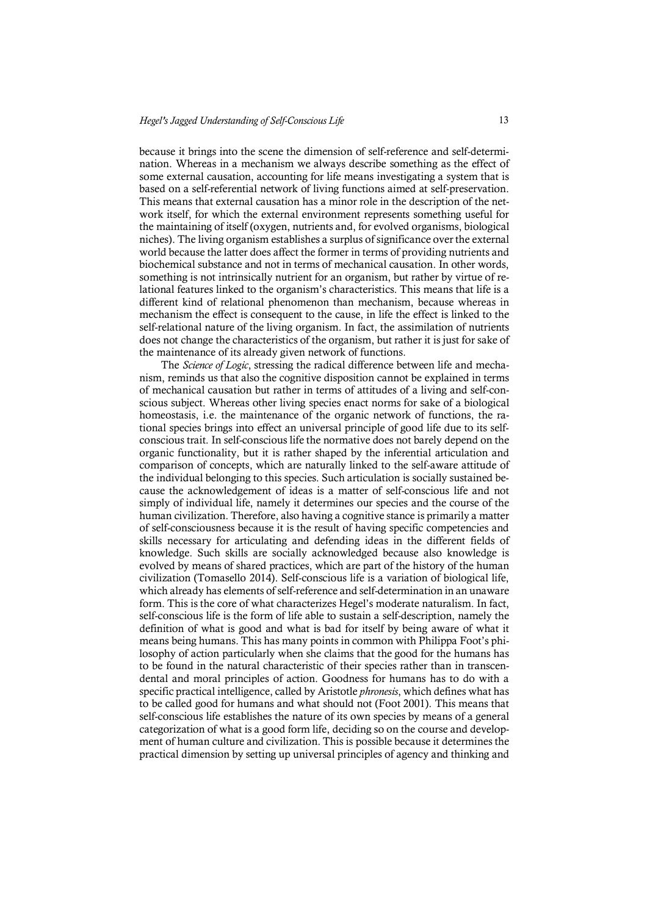because it brings into the scene the dimension of self-reference and self-determination. Whereas in a mechanism we always describe something as the effect of some external causation, accounting for life means investigating a system that is based on a self-referential network of living functions aimed at self-preservation. This means that external causation has a minor role in the description of the network itself, for which the external environment represents something useful for the maintaining of itself (oxygen, nutrients and, for evolved organisms, biological niches). The living organism establishes a surplus of significance over the external world because the latter does affect the former in terms of providing nutrients and biochemical substance and not in terms of mechanical causation. In other words, something is not intrinsically nutrient for an organism, but rather by virtue of relational features linked to the organism's characteristics. This means that life is a different kind of relational phenomenon than mechanism, because whereas in mechanism the effect is consequent to the cause, in life the effect is linked to the self-relational nature of the living organism. In fact, the assimilation of nutrients does not change the characteristics of the organism, but rather it is just for sake of the maintenance of its already given network of functions.

The *Science of Logic*, stressing the radical difference between life and mechanism, reminds us that also the cognitive disposition cannot be explained in terms of mechanical causation but rather in terms of attitudes of a living and self-conscious subject. Whereas other living species enact norms for sake of a biological homeostasis, i.e. the maintenance of the organic network of functions, the rational species brings into effect an universal principle of good life due to its selfconscious trait. In self-conscious life the normative does not barely depend on the organic functionality, but it is rather shaped by the inferential articulation and comparison of concepts, which are naturally linked to the self-aware attitude of the individual belonging to this species. Such articulation is socially sustained because the acknowledgement of ideas is a matter of self-conscious life and not simply of individual life, namely it determines our species and the course of the human civilization. Therefore, also having a cognitive stance is primarily a matter of self-consciousness because it is the result of having specific competencies and skills necessary for articulating and defending ideas in the different fields of knowledge. Such skills are socially acknowledged because also knowledge is evolved by means of shared practices, which are part of the history of the human civilization (Tomasello 2014). Self-conscious life is a variation of biological life, which already has elements of self-reference and self-determination in an unaware form. This is the core of what characterizes Hegel's moderate naturalism. In fact, self-conscious life is the form of life able to sustain a self-description, namely the definition of what is good and what is bad for itself by being aware of what it means being humans. This has many points in common with Philippa Foot's philosophy of action particularly when she claims that the good for the humans has to be found in the natural characteristic of their species rather than in transcendental and moral principles of action. Goodness for humans has to do with a specific practical intelligence, called by Aristotle *phronesis*, which defines what has to be called good for humans and what should not (Foot 2001). This means that self-conscious life establishes the nature of its own species by means of a general categorization of what is a good form life, deciding so on the course and development of human culture and civilization. This is possible because it determines the practical dimension by setting up universal principles of agency and thinking and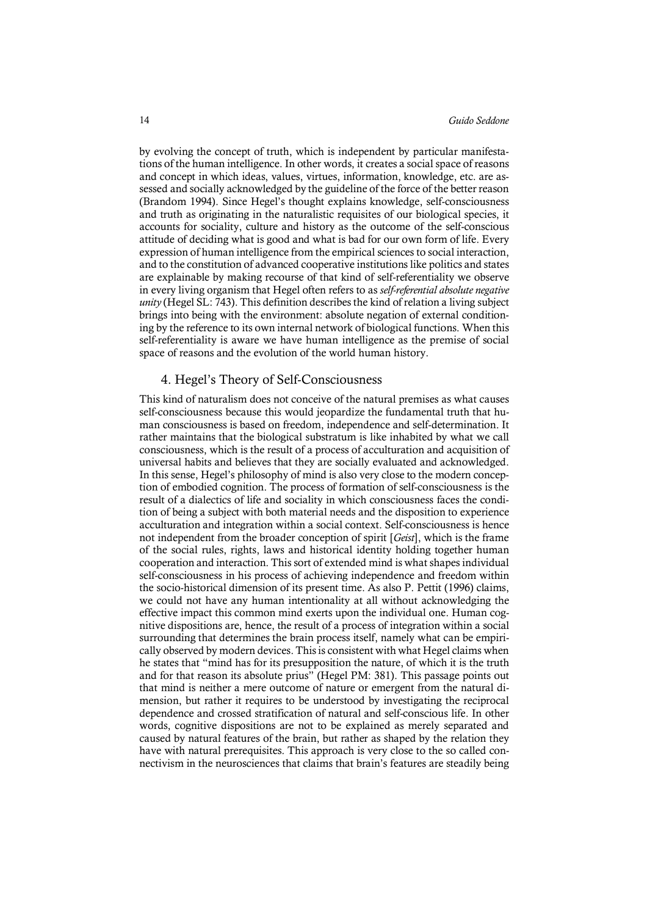by evolving the concept of truth, which is independent by particular manifestations of the human intelligence. In other words, it creates a social space of reasons and concept in which ideas, values, virtues, information, knowledge, etc. are assessed and socially acknowledged by the guideline of the force of the better reason (Brandom 1994). Since Hegel's thought explains knowledge, self-consciousness and truth as originating in the naturalistic requisites of our biological species, it accounts for sociality, culture and history as the outcome of the self-conscious attitude of deciding what is good and what is bad for our own form of life. Every expression of human intelligence from the empirical sciences to social interaction, and to the constitution of advanced cooperative institutions like politics and states are explainable by making recourse of that kind of self-referentiality we observe in every living organism that Hegel often refers to as *self-referential absolute negative unity* (Hegel SL: 743). This definition describes the kind of relation a living subject brings into being with the environment: absolute negation of external conditioning by the reference to its own internal network of biological functions. When this self-referentiality is aware we have human intelligence as the premise of social space of reasons and the evolution of the world human history.

#### 4. Hegel's Theory of Self-Consciousness

This kind of naturalism does not conceive of the natural premises as what causes self-consciousness because this would jeopardize the fundamental truth that human consciousness is based on freedom, independence and self-determination. It rather maintains that the biological substratum is like inhabited by what we call consciousness, which is the result of a process of acculturation and acquisition of universal habits and believes that they are socially evaluated and acknowledged. In this sense, Hegel's philosophy of mind is also very close to the modern conception of embodied cognition. The process of formation of self-consciousness is the result of a dialectics of life and sociality in which consciousness faces the condition of being a subject with both material needs and the disposition to experience acculturation and integration within a social context. Self-consciousness is hence not independent from the broader conception of spirit [*Geist*], which is the frame of the social rules, rights, laws and historical identity holding together human cooperation and interaction. This sort of extended mind is what shapes individual self-consciousness in his process of achieving independence and freedom within the socio-historical dimension of its present time. As also P. Pettit (1996) claims, we could not have any human intentionality at all without acknowledging the effective impact this common mind exerts upon the individual one. Human cognitive dispositions are, hence, the result of a process of integration within a social surrounding that determines the brain process itself, namely what can be empirically observed by modern devices. Thisis consistent with what Hegel claims when he states that "mind has for its presupposition the nature, of which it is the truth and for that reason its absolute prius" (Hegel PM: 381). This passage points out that mind is neither a mere outcome of nature or emergent from the natural dimension, but rather it requires to be understood by investigating the reciprocal dependence and crossed stratification of natural and self-conscious life. In other words, cognitive dispositions are not to be explained as merely separated and caused by natural features of the brain, but rather as shaped by the relation they have with natural prerequisites. This approach is very close to the so called connectivism in the neurosciences that claims that brain's features are steadily being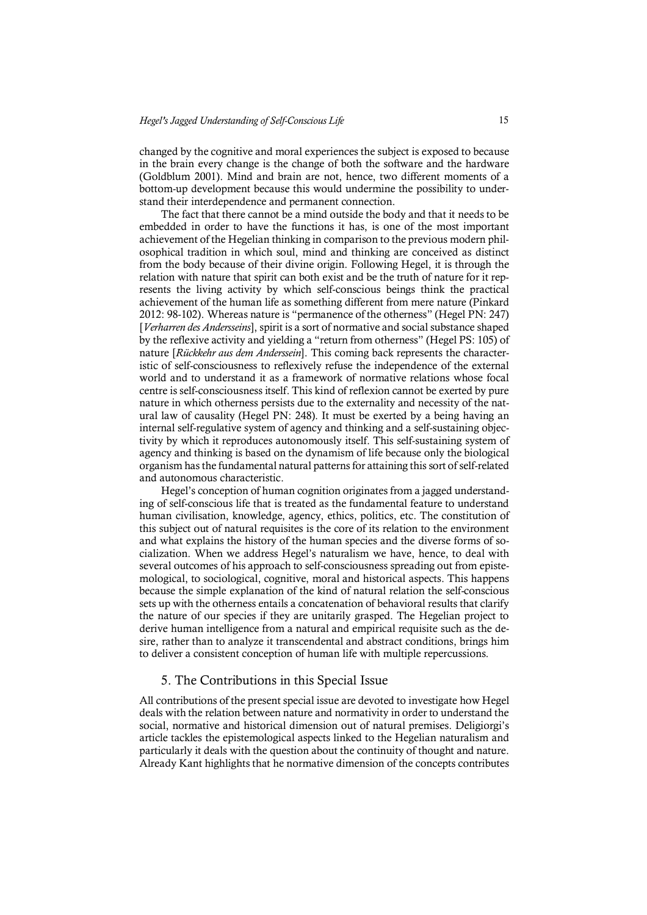changed by the cognitive and moral experiences the subject is exposed to because in the brain every change is the change of both the software and the hardware (Goldblum 2001). Mind and brain are not, hence, two different moments of a bottom-up development because this would undermine the possibility to understand their interdependence and permanent connection.

The fact that there cannot be a mind outside the body and that it needs to be embedded in order to have the functions it has, is one of the most important achievement of the Hegelian thinking in comparison to the previous modern philosophical tradition in which soul, mind and thinking are conceived as distinct from the body because of their divine origin. Following Hegel, it is through the relation with nature that spirit can both exist and be the truth of nature for it represents the living activity by which self-conscious beings think the practical achievement of the human life as something different from mere nature (Pinkard 2012: 98-102). Whereas nature is "permanence of the otherness" (Hegel PN: 247) [*Verharren des Andersseins*], spirit is a sort of normative and social substance shaped by the reflexive activity and yielding a "return from otherness" (Hegel PS: 105) of nature [*Rückkehr aus dem Anderssein*]. This coming back represents the characteristic of self-consciousness to reflexively refuse the independence of the external world and to understand it as a framework of normative relations whose focal centre is self-consciousness itself. This kind of reflexion cannot be exerted by pure nature in which otherness persists due to the externality and necessity of the natural law of causality (Hegel PN: 248). It must be exerted by a being having an internal self-regulative system of agency and thinking and a self-sustaining objectivity by which it reproduces autonomously itself. This self-sustaining system of agency and thinking is based on the dynamism of life because only the biological organism has the fundamental natural patterns for attaining this sort of self-related and autonomous characteristic.

Hegel's conception of human cognition originates from a jagged understanding of self-conscious life that is treated as the fundamental feature to understand human civilisation, knowledge, agency, ethics, politics, etc. The constitution of this subject out of natural requisites is the core of its relation to the environment and what explains the history of the human species and the diverse forms of socialization. When we address Hegel's naturalism we have, hence, to deal with several outcomes of his approach to self-consciousness spreading out from epistemological, to sociological, cognitive, moral and historical aspects. This happens because the simple explanation of the kind of natural relation the self-conscious sets up with the otherness entails a concatenation of behavioral results that clarify the nature of our species if they are unitarily grasped. The Hegelian project to derive human intelligence from a natural and empirical requisite such as the desire, rather than to analyze it transcendental and abstract conditions, brings him to deliver a consistent conception of human life with multiple repercussions.

#### 5. The Contributions in this Special Issue

All contributions of the present special issue are devoted to investigate how Hegel deals with the relation between nature and normativity in order to understand the social, normative and historical dimension out of natural premises. Deligiorgi's article tackles the epistemological aspects linked to the Hegelian naturalism and particularly it deals with the question about the continuity of thought and nature. Already Kant highlights that he normative dimension of the concepts contributes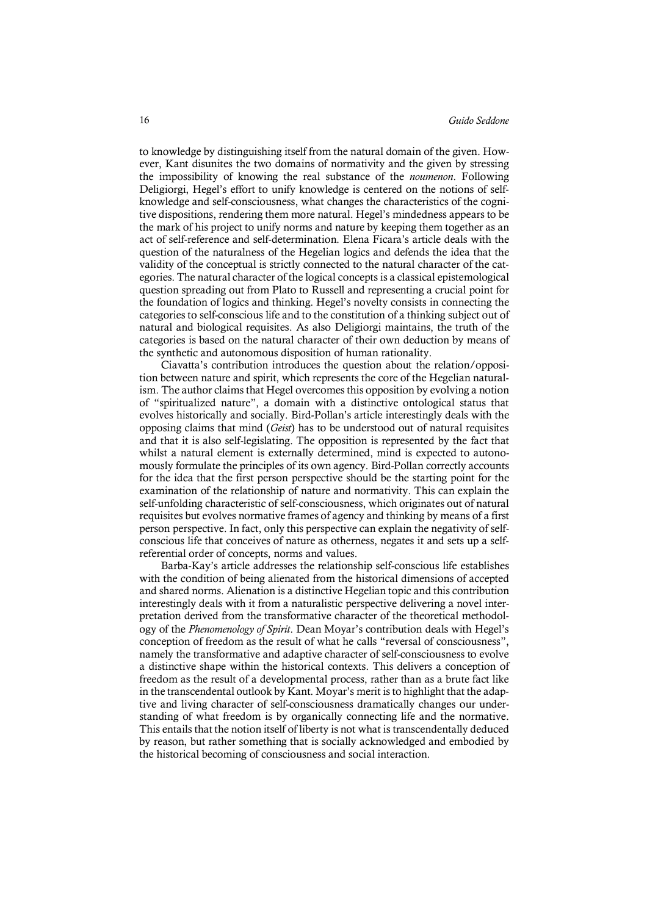to knowledge by distinguishing itself from the natural domain of the given. However, Kant disunites the two domains of normativity and the given by stressing the impossibility of knowing the real substance of the *noumenon*. Following Deligiorgi, Hegel's effort to unify knowledge is centered on the notions of selfknowledge and self-consciousness, what changes the characteristics of the cognitive dispositions, rendering them more natural. Hegel's mindedness appears to be the mark of his project to unify norms and nature by keeping them together as an act of self-reference and self-determination. Elena Ficara's article deals with the question of the naturalness of the Hegelian logics and defends the idea that the validity of the conceptual is strictly connected to the natural character of the categories. The natural character of the logical concepts is a classical epistemological question spreading out from Plato to Russell and representing a crucial point for the foundation of logics and thinking. Hegel's novelty consists in connecting the categories to self-conscious life and to the constitution of a thinking subject out of natural and biological requisites. As also Deligiorgi maintains, the truth of the categories is based on the natural character of their own deduction by means of the synthetic and autonomous disposition of human rationality.

Ciavatta's contribution introduces the question about the relation/opposition between nature and spirit, which represents the core of the Hegelian naturalism. The author claims that Hegel overcomesthis opposition by evolving a notion of "spiritualized nature", a domain with a distinctive ontological status that evolves historically and socially. Bird-Pollan's article interestingly deals with the opposing claims that mind (*Geist*) has to be understood out of natural requisites and that it is also self-legislating. The opposition is represented by the fact that whilst a natural element is externally determined, mind is expected to autonomously formulate the principles of its own agency. Bird-Pollan correctly accounts for the idea that the first person perspective should be the starting point for the examination of the relationship of nature and normativity. This can explain the self-unfolding characteristic of self-consciousness, which originates out of natural requisites but evolves normative frames of agency and thinking by means of a first person perspective. In fact, only this perspective can explain the negativity of selfconscious life that conceives of nature as otherness, negates it and sets up a selfreferential order of concepts, norms and values.

Barba-Kay's article addresses the relationship self-conscious life establishes with the condition of being alienated from the historical dimensions of accepted and shared norms. Alienation is a distinctive Hegelian topic and this contribution interestingly deals with it from a naturalistic perspective delivering a novel interpretation derived from the transformative character of the theoretical methodology of the *Phenomenology of Spirit*. Dean Moyar's contribution deals with Hegel's conception of freedom as the result of what he calls "reversal of consciousness", namely the transformative and adaptive character of self-consciousness to evolve a distinctive shape within the historical contexts. This delivers a conception of freedom as the result of a developmental process, rather than as a brute fact like in the transcendental outlook by Kant. Moyar's merit isto highlight that the adaptive and living character of self-consciousness dramatically changes our understanding of what freedom is by organically connecting life and the normative. This entails that the notion itself of liberty is not what is transcendentally deduced by reason, but rather something that is socially acknowledged and embodied by the historical becoming of consciousness and social interaction.